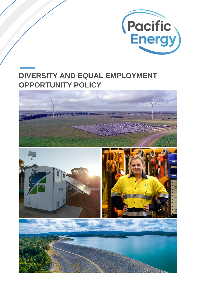

# **DIVERSITY AND EQUAL EMPLOYMENT OPPORTUNITY POLICY**

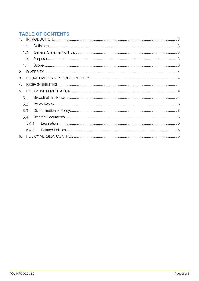# **TABLE OF CONTENTS**

|    | 1.1   |  |  |  |  |  |  |
|----|-------|--|--|--|--|--|--|
|    | 1.2   |  |  |  |  |  |  |
|    | 1.3   |  |  |  |  |  |  |
|    | 1.4   |  |  |  |  |  |  |
| 2. |       |  |  |  |  |  |  |
| 3. |       |  |  |  |  |  |  |
| 4. |       |  |  |  |  |  |  |
| 5. |       |  |  |  |  |  |  |
|    | 5.1   |  |  |  |  |  |  |
|    | 5.2   |  |  |  |  |  |  |
|    | 5.3   |  |  |  |  |  |  |
|    | 5.4   |  |  |  |  |  |  |
|    | 5.4.1 |  |  |  |  |  |  |
|    | 5.4.2 |  |  |  |  |  |  |
| 6. |       |  |  |  |  |  |  |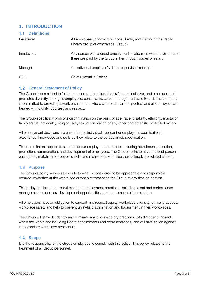### <span id="page-2-0"></span>**1. INTRODUCTION**

<span id="page-2-1"></span>

| <b>1.1 Definitions</b> |                                                                                                                                    |  |  |
|------------------------|------------------------------------------------------------------------------------------------------------------------------------|--|--|
| Personnel              | All employees, contractors, consultants, and visitors of the Pacific<br>Energy group of companies (Group).                         |  |  |
| <b>Employees</b>       | Any person with a direct employment relationship with the Group and<br>therefore paid by the Group either through wages or salary. |  |  |
| Manager                | An individual employee's direct supervisor/manager                                                                                 |  |  |
| <b>CEO</b>             | <b>Chief Executive Officer</b>                                                                                                     |  |  |

### <span id="page-2-2"></span>**1.2 General Statement of Policy**

The Group is committed to fostering a corporate culture that is fair and inclusive, and embraces and promotes diversity among its employees, consultants, senior management, and Board. The company is committed to providing a work environment where differences are respected, and all employees are treated with dignity, courtesy and respect.

The Group specifically prohibits discrimination on the basis of age, race, disability, ethnicity, marital or family status, nationality, religion, sex, sexual orientation or any other characteristic protected by law.

All employment decisions are based on the individual applicant or employee's qualifications, experience, knowledge and skills as they relate to the particular job specification.

This commitment applies to all areas of our employment practices including recruitment, selection, promotion, remuneration, and development of employees. The Group seeks to have the best person in each job by matching our people's skills and motivations with clear, predefined, job-related criteria.

### <span id="page-2-3"></span>1.3 **Purpose**

The Group's policy serves as a guide to what is considered to be appropriate and responsible behaviour whether at the workplace or when representing the Group at any time or location.

This policy applies to our recruitment and employment practices, including talent and performance management processes, development opportunities, and our remuneration structure.

All employees have an obligation to support and respect equity, workplace diversity, ethical practices, workplace safety and help to prevent unlawful discrimination and harassment in their workplaces.

The Group will strive to identify and eliminate any discriminatory practices both direct and indirect within the workplace including Board appointments and representations, and will take action against inappropriate workplace behaviours.

### <span id="page-2-4"></span>1.4 Scope

It is the responsibility of the Group employees to comply with this policy. This policy relates to the treatment of all Group personnel.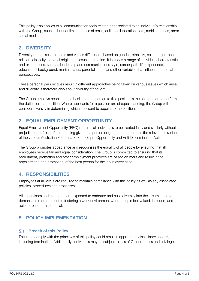This policy also applies to all communication tools related or associated to an individual's relationship with the Group, such as but not limited to use of email, online collaboration tools, mobile phones, an/or social media.

### <span id="page-3-0"></span>**2. DIVERSITY**

Diversity recognises, respects and values differences based on gender, ethnicity, colour, age, race, religion, disability, national origin and sexual orientation. It includes a range of individual characteristics and experiences, such as leadership and communications style, career path, life experience, educational background, marital status, parental status and other variables that influence personal perspectives.

These personal perspectives result in different approaches being taken on various issues which arise, and diversity is therefore also about diversity of thought.

The Group employs people on the basis that the person to fill a position is the best person to perform the duties for that position. Where applicants for a position are of equal standing, the Group will consider diversity in determining which applicant to appoint to the position.

## <span id="page-3-1"></span>**3. EQUAL EMPLOYMENT OPPORTUNITY**

Equal Employment Opportunity (EEO) requires all individuals to be treated fairly and similarly without prejudice or unfair preference being given to a person or group, and embraces the relevant provisions of the various Australian Federal and State Equal Opportunity and Anti-Discrimination Acts.

The Group promotes acceptance and recognises the equality of all people by ensuring that all employees receive fair and equal consideration. The Group is committed to ensuring that its recruitment, promotion and other employment practices are based on merit and result in the appointment, and promotion, of the best person for the job in every case.

### <span id="page-3-2"></span>**4. RESPONSIBILITIES**

Employees at all levels are required to maintain compliance with this policy as well as any associated policies, procedures and processes.

All supervisors and managers are expected to embrace and build diversity into their teams, and to demonstrate commitment to fostering a work environment where people feel valued, included, and able to reach their potential.

# <span id="page-3-3"></span>**5. POLICY IMPLEMENTATION**

### <span id="page-3-4"></span>**Breach of this Policy**

Failure to comply with the principles of this policy could result in appropriate disciplinary actions, including termination. Additionally, individuals may be subject to loss of Group access and privileges.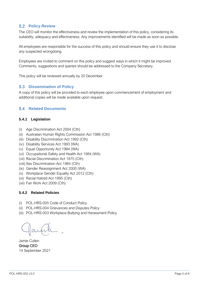### <span id="page-4-0"></span>**5.2 Policy Review**

The CEO will monitor the effectiveness and review the implementation of this policy, considering its suitability, adequacy and effectiveness. Any improvements identified will be made as soon as possible.

All employees are responsible for the success of this policy and should ensure they use it to disclose any suspected wrongdoing.

Employees are invited to comment on this policy and suggest ways in which it might be improved. Comments, suggestions and queries should be addressed to the Company Secretary.

This policy will be reviewed annually by 20 December.

#### <span id="page-4-1"></span>**5.3 Dissemination of Policy**

A copy of this policy will be provided to each employee upon commencement of employment and additional copies will be made available upon request.

### <span id="page-4-2"></span>**5.4 Related Documents**

#### <span id="page-4-3"></span>**5.4.1 Legislation**

- (i) Age Discrimination Act 2004 (Cth)
- (ii) Australian Human Rights Commission Act 1986 (Cth)
- (iii) Disability Discrimination Act 1992 (Cth)
- (iv) Disability Services Act 1993 (WA)
- (v) Equal Opportunity Act 1984 (WA)
- (vi) Occupational Safety and Health Act 1984 (WA)
- (vii) Racial Discrimination Act 1975 (Cth)
- (viii) Sex Discrimination Act 1984 (Cth)
- (ix) Gender Reassignment Act 2000 (WA)
- (x) Workplace Gender Equality Act 2012 (Cth)
- (xi) Racial Hatred Act 1995 (Cth)
- (xii) Fair Work Act 2009 (Cth)

#### <span id="page-4-4"></span>**5.4.2 Related Policies**

- (i) POL-HRS-005 Code of Conduct Policy
- (ii) POL-HRS-004 Grievances and Disputes Policy
- (iii) POL-HRS-003 Workplace Bullying and Harassment Policy

Jamie Cullen Group CEO 14 September 2021